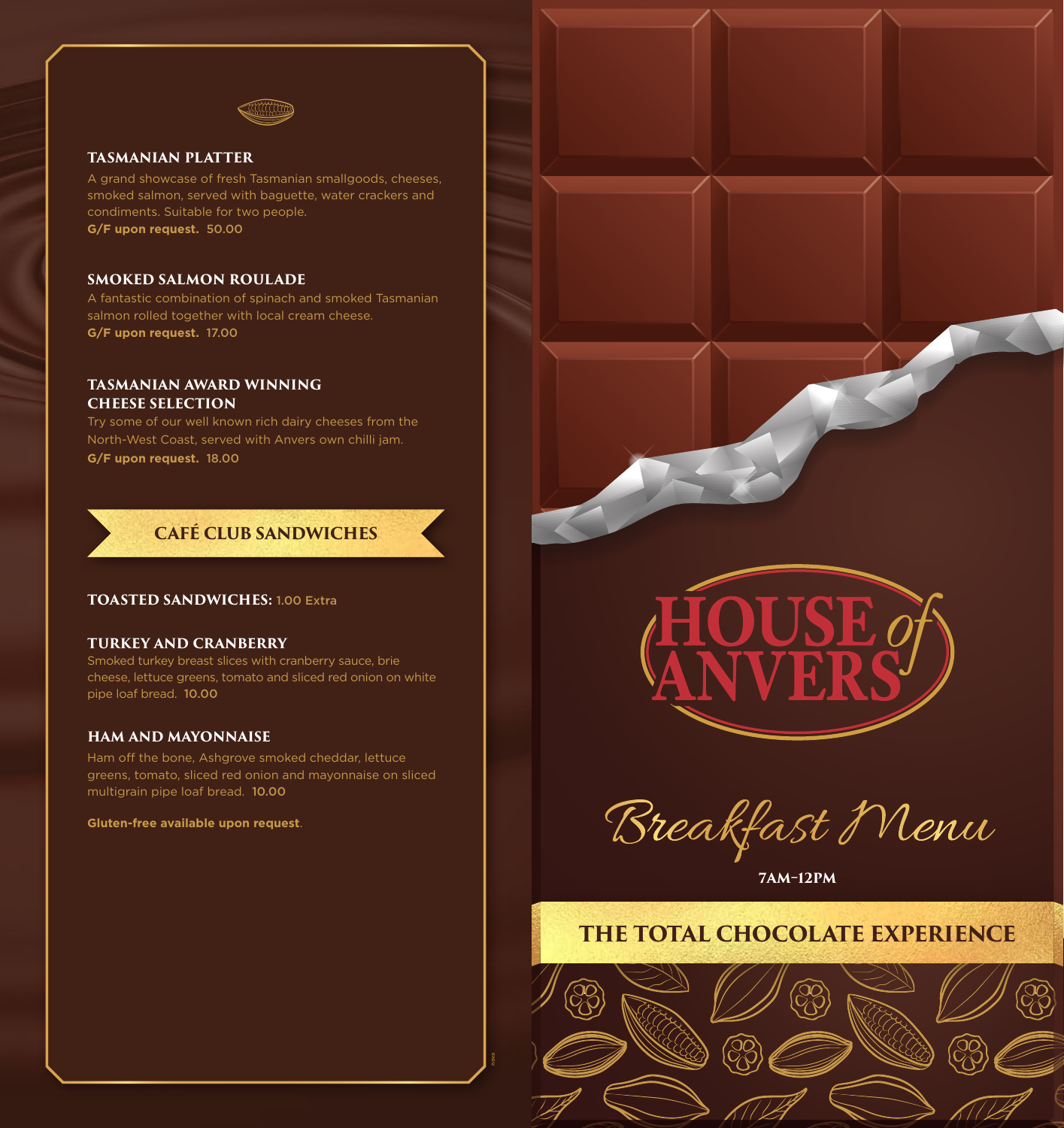

#### **TASMANIAN PLATTER**

A grand showcase of fresh Tasmanian smallgoods, cheeses, smoked salmon, served with baguette, water crackers and condiments. Suitable for two people. **G/F upon request.** 50.00

#### **SMOKED SALMON ROULADE**

A fantastic combination of spinach and smoked Tasmanian salmon rolled together with local cream cheese. **G/F upon request.** 17.00

#### **TASMANIAN AWARD WINNING CHEESE SELECTION**

Try some of our well known rich dairy cheeses from the North-West Coast, served with Anvers own chilli jam. **G/F upon request.** 18.00

## **CAFÉ CLUB SANDWICHES**

#### **TOASTED SANDWICHES:** 1.00 Extra

#### **TURKEY AND CRANBERRY**

Smoked turkey breast slices with cranberry sauce, brie cheese, lettuce greens, tomato and sliced red onion on white pipe loaf bread. 10.00

#### **HAM AND MAYONNAISE**

Ham off the bone, Ashgrove smoked cheddar, lettuce greens, tomato, sliced red onion and mayonnaise on sliced multigrain pipe loaf bread. 10.00

nova

**Gluten-free available upon request**.



Breakfast Menu

**7AM–12P 7AM–12PM**

## **THE TOTAL CHOCOLATE EXPERIENCE**